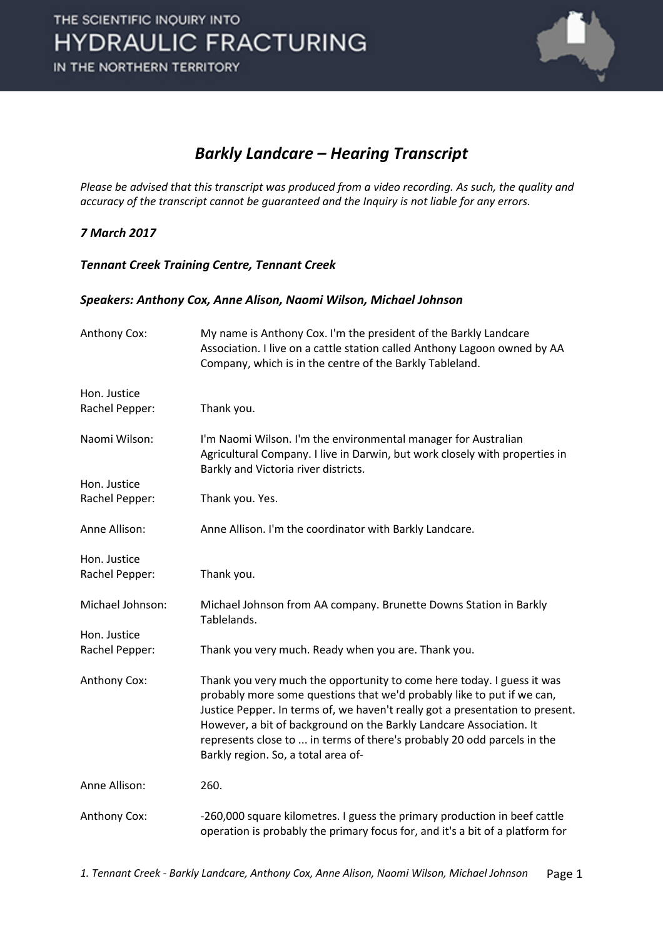

#### *Barkly Landcare – Hearing Transcript*

*Please be advised that this transcript was produced from a video recording. As such, the quality and accuracy of the transcript cannot be guaranteed and the Inquiry is not liable for any errors.*

#### *7 March 2017*

*Tennant Creek Training Centre, Tennant Creek* 

#### *Speakers: Anthony Cox, Anne Alison, Naomi Wilson, Michael Johnson*

| Anthony Cox:                   | My name is Anthony Cox. I'm the president of the Barkly Landcare<br>Association. I live on a cattle station called Anthony Lagoon owned by AA<br>Company, which is in the centre of the Barkly Tableland.                                                                                                                                                                                                                  |
|--------------------------------|----------------------------------------------------------------------------------------------------------------------------------------------------------------------------------------------------------------------------------------------------------------------------------------------------------------------------------------------------------------------------------------------------------------------------|
| Hon. Justice<br>Rachel Pepper: | Thank you.                                                                                                                                                                                                                                                                                                                                                                                                                 |
| Naomi Wilson:                  | I'm Naomi Wilson. I'm the environmental manager for Australian<br>Agricultural Company. I live in Darwin, but work closely with properties in<br>Barkly and Victoria river districts.                                                                                                                                                                                                                                      |
| Hon. Justice<br>Rachel Pepper: | Thank you. Yes.                                                                                                                                                                                                                                                                                                                                                                                                            |
| Anne Allison:                  | Anne Allison. I'm the coordinator with Barkly Landcare.                                                                                                                                                                                                                                                                                                                                                                    |
| Hon. Justice<br>Rachel Pepper: | Thank you.                                                                                                                                                                                                                                                                                                                                                                                                                 |
| Michael Johnson:               | Michael Johnson from AA company. Brunette Downs Station in Barkly<br>Tablelands.                                                                                                                                                                                                                                                                                                                                           |
| Hon. Justice                   |                                                                                                                                                                                                                                                                                                                                                                                                                            |
| Rachel Pepper:                 | Thank you very much. Ready when you are. Thank you.                                                                                                                                                                                                                                                                                                                                                                        |
| Anthony Cox:                   | Thank you very much the opportunity to come here today. I guess it was<br>probably more some questions that we'd probably like to put if we can,<br>Justice Pepper. In terms of, we haven't really got a presentation to present.<br>However, a bit of background on the Barkly Landcare Association. It<br>represents close to  in terms of there's probably 20 odd parcels in the<br>Barkly region. So, a total area of- |
| Anne Allison:                  | 260.                                                                                                                                                                                                                                                                                                                                                                                                                       |
| Anthony Cox:                   | -260,000 square kilometres. I guess the primary production in beef cattle<br>operation is probably the primary focus for, and it's a bit of a platform for                                                                                                                                                                                                                                                                 |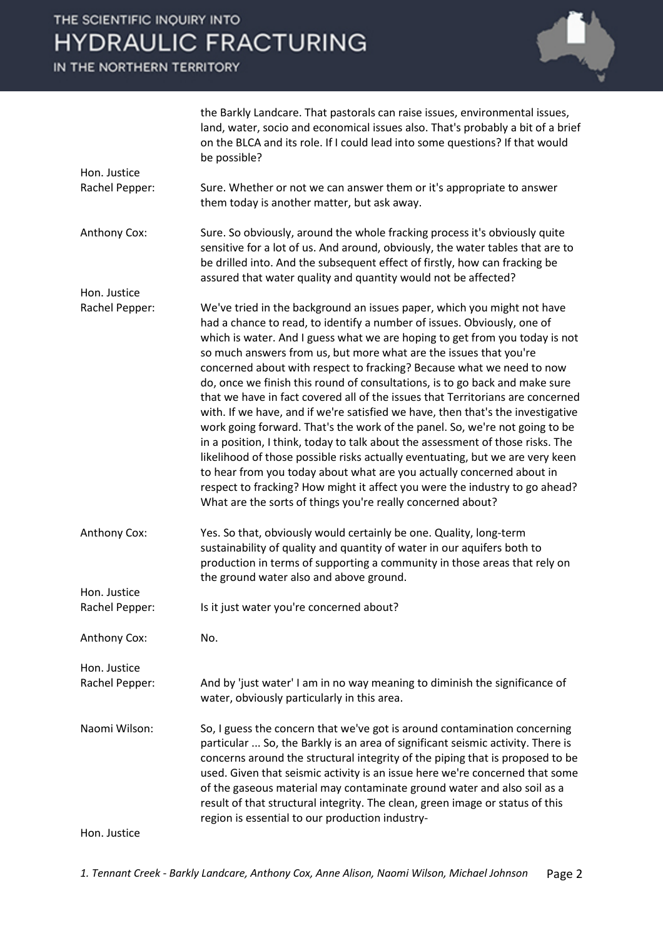IN THE NORTHERN TERRITORY



|                                | the Barkly Landcare. That pastorals can raise issues, environmental issues,<br>land, water, socio and economical issues also. That's probably a bit of a brief<br>on the BLCA and its role. If I could lead into some questions? If that would<br>be possible?                                                                                                                                                                                                                                                                                                                                                                                                                                                                                                                                                                                                                                                                                                                                                                                                                                               |
|--------------------------------|--------------------------------------------------------------------------------------------------------------------------------------------------------------------------------------------------------------------------------------------------------------------------------------------------------------------------------------------------------------------------------------------------------------------------------------------------------------------------------------------------------------------------------------------------------------------------------------------------------------------------------------------------------------------------------------------------------------------------------------------------------------------------------------------------------------------------------------------------------------------------------------------------------------------------------------------------------------------------------------------------------------------------------------------------------------------------------------------------------------|
| Hon. Justice<br>Rachel Pepper: | Sure. Whether or not we can answer them or it's appropriate to answer<br>them today is another matter, but ask away.                                                                                                                                                                                                                                                                                                                                                                                                                                                                                                                                                                                                                                                                                                                                                                                                                                                                                                                                                                                         |
| Anthony Cox:                   | Sure. So obviously, around the whole fracking process it's obviously quite<br>sensitive for a lot of us. And around, obviously, the water tables that are to<br>be drilled into. And the subsequent effect of firstly, how can fracking be<br>assured that water quality and quantity would not be affected?                                                                                                                                                                                                                                                                                                                                                                                                                                                                                                                                                                                                                                                                                                                                                                                                 |
| Hon. Justice                   |                                                                                                                                                                                                                                                                                                                                                                                                                                                                                                                                                                                                                                                                                                                                                                                                                                                                                                                                                                                                                                                                                                              |
| Rachel Pepper:                 | We've tried in the background an issues paper, which you might not have<br>had a chance to read, to identify a number of issues. Obviously, one of<br>which is water. And I guess what we are hoping to get from you today is not<br>so much answers from us, but more what are the issues that you're<br>concerned about with respect to fracking? Because what we need to now<br>do, once we finish this round of consultations, is to go back and make sure<br>that we have in fact covered all of the issues that Territorians are concerned<br>with. If we have, and if we're satisfied we have, then that's the investigative<br>work going forward. That's the work of the panel. So, we're not going to be<br>in a position, I think, today to talk about the assessment of those risks. The<br>likelihood of those possible risks actually eventuating, but we are very keen<br>to hear from you today about what are you actually concerned about in<br>respect to fracking? How might it affect you were the industry to go ahead?<br>What are the sorts of things you're really concerned about? |
| Anthony Cox:                   | Yes. So that, obviously would certainly be one. Quality, long-term<br>sustainability of quality and quantity of water in our aquifers both to<br>production in terms of supporting a community in those areas that rely on<br>the ground water also and above ground.                                                                                                                                                                                                                                                                                                                                                                                                                                                                                                                                                                                                                                                                                                                                                                                                                                        |
| Hon. Justice<br>Rachel Pepper: | Is it just water you're concerned about?                                                                                                                                                                                                                                                                                                                                                                                                                                                                                                                                                                                                                                                                                                                                                                                                                                                                                                                                                                                                                                                                     |
| Anthony Cox:                   | No.                                                                                                                                                                                                                                                                                                                                                                                                                                                                                                                                                                                                                                                                                                                                                                                                                                                                                                                                                                                                                                                                                                          |
| Hon. Justice<br>Rachel Pepper: | And by 'just water' I am in no way meaning to diminish the significance of<br>water, obviously particularly in this area.                                                                                                                                                                                                                                                                                                                                                                                                                                                                                                                                                                                                                                                                                                                                                                                                                                                                                                                                                                                    |
| Naomi Wilson:                  | So, I guess the concern that we've got is around contamination concerning<br>particular  So, the Barkly is an area of significant seismic activity. There is<br>concerns around the structural integrity of the piping that is proposed to be<br>used. Given that seismic activity is an issue here we're concerned that some<br>of the gaseous material may contaminate ground water and also soil as a<br>result of that structural integrity. The clean, green image or status of this<br>region is essential to our production industry-                                                                                                                                                                                                                                                                                                                                                                                                                                                                                                                                                                 |
| Hon. Justice                   |                                                                                                                                                                                                                                                                                                                                                                                                                                                                                                                                                                                                                                                                                                                                                                                                                                                                                                                                                                                                                                                                                                              |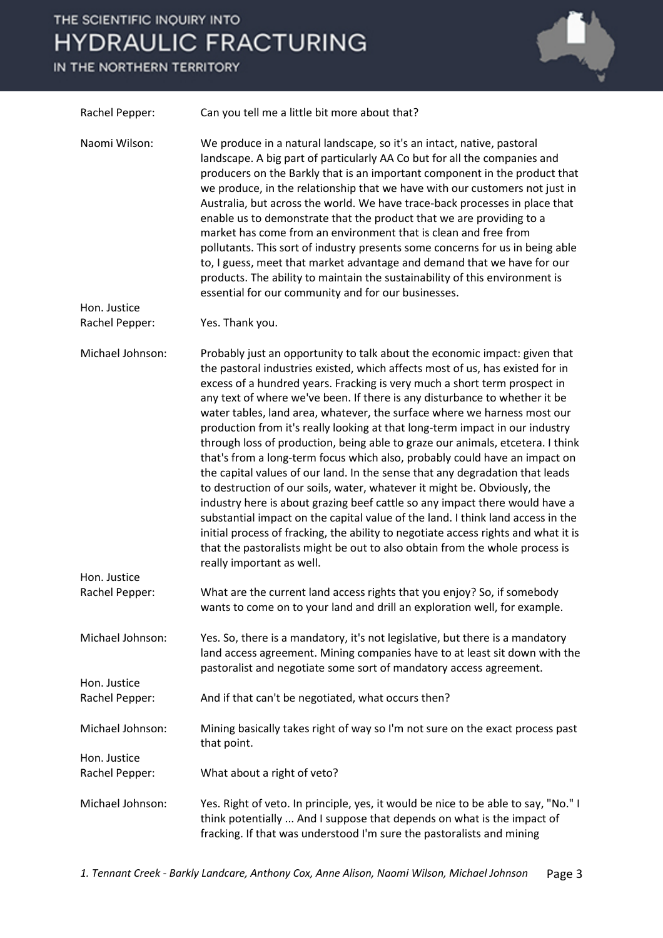#### IN THE NORTHERN TERRITORY



| Rachel Pepper:                   | Can you tell me a little bit more about that?                                                                                                                                                                                                                                                                                                                                                                                                                                                                                                                                                                                                                                                                                                                                                                                                                                                                                                                                                                                                                                                                                                                                      |
|----------------------------------|------------------------------------------------------------------------------------------------------------------------------------------------------------------------------------------------------------------------------------------------------------------------------------------------------------------------------------------------------------------------------------------------------------------------------------------------------------------------------------------------------------------------------------------------------------------------------------------------------------------------------------------------------------------------------------------------------------------------------------------------------------------------------------------------------------------------------------------------------------------------------------------------------------------------------------------------------------------------------------------------------------------------------------------------------------------------------------------------------------------------------------------------------------------------------------|
| Naomi Wilson:                    | We produce in a natural landscape, so it's an intact, native, pastoral<br>landscape. A big part of particularly AA Co but for all the companies and<br>producers on the Barkly that is an important component in the product that<br>we produce, in the relationship that we have with our customers not just in<br>Australia, but across the world. We have trace-back processes in place that<br>enable us to demonstrate that the product that we are providing to a<br>market has come from an environment that is clean and free from<br>pollutants. This sort of industry presents some concerns for us in being able<br>to, I guess, meet that market advantage and demand that we have for our<br>products. The ability to maintain the sustainability of this environment is<br>essential for our community and for our businesses.                                                                                                                                                                                                                                                                                                                                       |
| Hon. Justice<br>Rachel Pepper:   | Yes. Thank you.                                                                                                                                                                                                                                                                                                                                                                                                                                                                                                                                                                                                                                                                                                                                                                                                                                                                                                                                                                                                                                                                                                                                                                    |
| Michael Johnson:                 | Probably just an opportunity to talk about the economic impact: given that<br>the pastoral industries existed, which affects most of us, has existed for in<br>excess of a hundred years. Fracking is very much a short term prospect in<br>any text of where we've been. If there is any disturbance to whether it be<br>water tables, land area, whatever, the surface where we harness most our<br>production from it's really looking at that long-term impact in our industry<br>through loss of production, being able to graze our animals, etcetera. I think<br>that's from a long-term focus which also, probably could have an impact on<br>the capital values of our land. In the sense that any degradation that leads<br>to destruction of our soils, water, whatever it might be. Obviously, the<br>industry here is about grazing beef cattle so any impact there would have a<br>substantial impact on the capital value of the land. I think land access in the<br>initial process of fracking, the ability to negotiate access rights and what it is<br>that the pastoralists might be out to also obtain from the whole process is<br>really important as well. |
| Hon. Justice<br>Rachel Pepper:   | What are the current land access rights that you enjoy? So, if somebody<br>wants to come on to your land and drill an exploration well, for example.                                                                                                                                                                                                                                                                                                                                                                                                                                                                                                                                                                                                                                                                                                                                                                                                                                                                                                                                                                                                                               |
| Michael Johnson:                 | Yes. So, there is a mandatory, it's not legislative, but there is a mandatory<br>land access agreement. Mining companies have to at least sit down with the<br>pastoralist and negotiate some sort of mandatory access agreement.                                                                                                                                                                                                                                                                                                                                                                                                                                                                                                                                                                                                                                                                                                                                                                                                                                                                                                                                                  |
| Hon. Justice<br>Rachel Pepper:   | And if that can't be negotiated, what occurs then?                                                                                                                                                                                                                                                                                                                                                                                                                                                                                                                                                                                                                                                                                                                                                                                                                                                                                                                                                                                                                                                                                                                                 |
| Michael Johnson:<br>Hon. Justice | Mining basically takes right of way so I'm not sure on the exact process past<br>that point.                                                                                                                                                                                                                                                                                                                                                                                                                                                                                                                                                                                                                                                                                                                                                                                                                                                                                                                                                                                                                                                                                       |
| Rachel Pepper:                   | What about a right of veto?                                                                                                                                                                                                                                                                                                                                                                                                                                                                                                                                                                                                                                                                                                                                                                                                                                                                                                                                                                                                                                                                                                                                                        |
| Michael Johnson:                 | Yes. Right of veto. In principle, yes, it would be nice to be able to say, "No." I<br>think potentially  And I suppose that depends on what is the impact of<br>fracking. If that was understood I'm sure the pastoralists and mining                                                                                                                                                                                                                                                                                                                                                                                                                                                                                                                                                                                                                                                                                                                                                                                                                                                                                                                                              |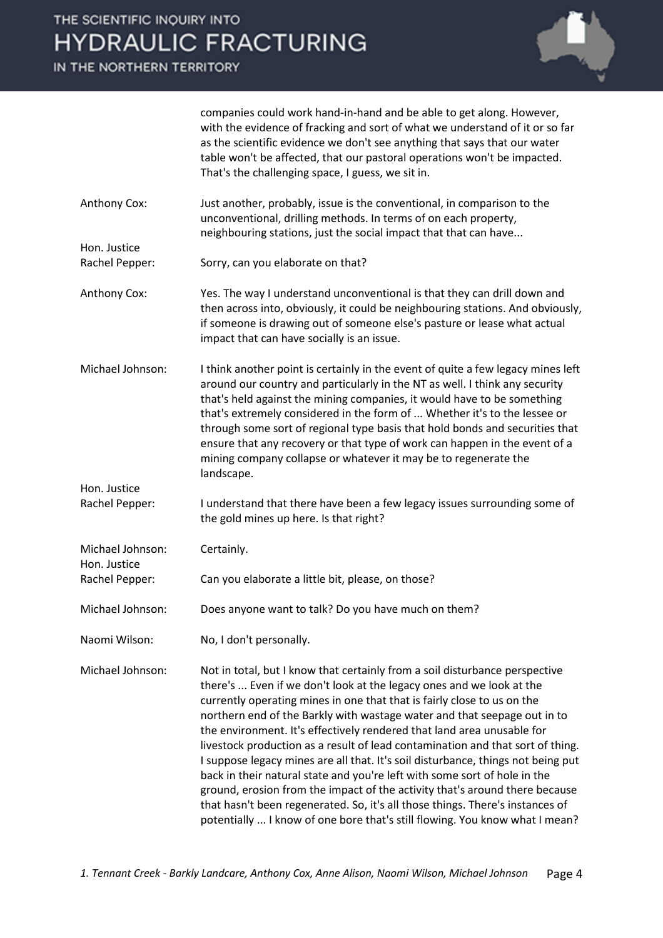IN THE NORTHERN TERRITORY



companies could work hand-in-hand and be able to get along. However, with the evidence of fracking and sort of what we understand of it or so far as the scientific evidence we don't see anything that says that our water table won't be affected, that our pastoral operations won't be impacted. That's the challenging space, I guess, we sit in.

- Anthony Cox: Just another, probably, issue is the conventional, in comparison to the unconventional, drilling methods. In terms of on each property, neighbouring stations, just the social impact that that can have...
- Hon. Justice Rachel Pepper: Sorry, can you elaborate on that?
- Anthony Cox: Yes. The way I understand unconventional is that they can drill down and then across into, obviously, it could be neighbouring stations. And obviously, if someone is drawing out of someone else's pasture or lease what actual impact that can have socially is an issue.
- Michael Johnson: I think another point is certainly in the event of quite a few legacy mines left around our country and particularly in the NT as well. I think any security that's held against the mining companies, it would have to be something that's extremely considered in the form of ... Whether it's to the lessee or through some sort of regional type basis that hold bonds and securities that ensure that any recovery or that type of work can happen in the event of a mining company collapse or whatever it may be to regenerate the landscape.

Hon. Justice Rachel Pepper: I understand that there have been a few legacy issues surrounding some of the gold mines up here. Is that right?

Michael Johnson: Certainly.

Hon. Justice

Rachel Pepper: Can you elaborate a little bit, please, on those?

Michael Johnson: Does anyone want to talk? Do you have much on them?

Naomi Wilson: No, I don't personally.

Michael Johnson: Not in total, but I know that certainly from a soil disturbance perspective there's ... Even if we don't look at the legacy ones and we look at the currently operating mines in one that that is fairly close to us on the northern end of the Barkly with wastage water and that seepage out in to the environment. It's effectively rendered that land area unusable for livestock production as a result of lead contamination and that sort of thing. I suppose legacy mines are all that. It's soil disturbance, things not being put back in their natural state and you're left with some sort of hole in the ground, erosion from the impact of the activity that's around there because that hasn't been regenerated. So, it's all those things. There's instances of potentially ... I know of one bore that's still flowing. You know what I mean?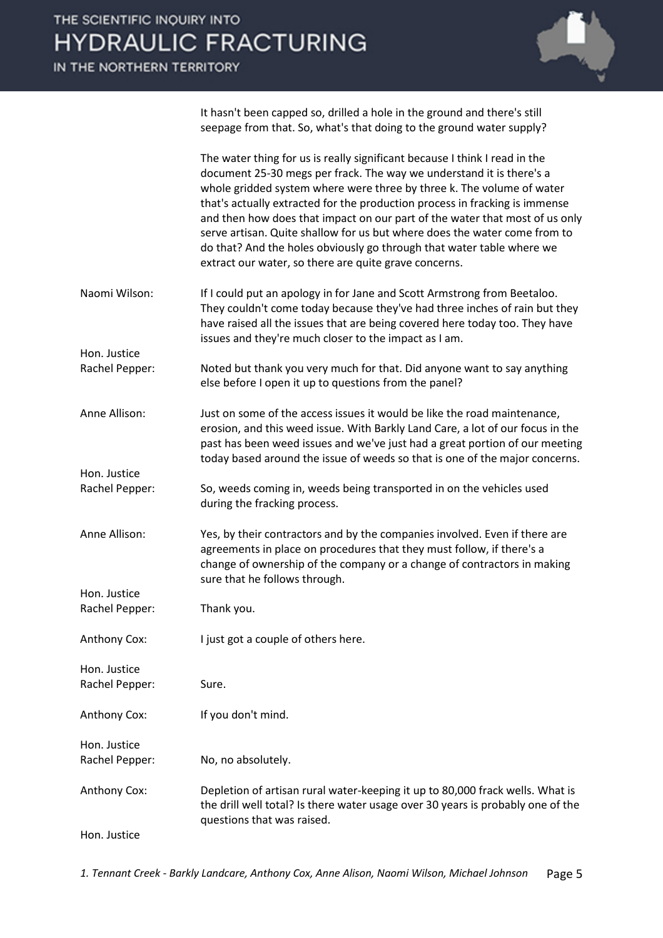### IN THE NORTHERN TERRITORY



It hasn't been capped so, drilled a hole in the ground and there's still seepage from that. So, what's that doing to the ground water supply?

|                                | The water thing for us is really significant because I think I read in the<br>document 25-30 megs per frack. The way we understand it is there's a<br>whole gridded system where were three by three k. The volume of water<br>that's actually extracted for the production process in fracking is immense<br>and then how does that impact on our part of the water that most of us only<br>serve artisan. Quite shallow for us but where does the water come from to<br>do that? And the holes obviously go through that water table where we<br>extract our water, so there are quite grave concerns. |
|--------------------------------|----------------------------------------------------------------------------------------------------------------------------------------------------------------------------------------------------------------------------------------------------------------------------------------------------------------------------------------------------------------------------------------------------------------------------------------------------------------------------------------------------------------------------------------------------------------------------------------------------------|
| Naomi Wilson:                  | If I could put an apology in for Jane and Scott Armstrong from Beetaloo.<br>They couldn't come today because they've had three inches of rain but they<br>have raised all the issues that are being covered here today too. They have<br>issues and they're much closer to the impact as I am.                                                                                                                                                                                                                                                                                                           |
| Hon. Justice                   |                                                                                                                                                                                                                                                                                                                                                                                                                                                                                                                                                                                                          |
| Rachel Pepper:                 | Noted but thank you very much for that. Did anyone want to say anything<br>else before I open it up to questions from the panel?                                                                                                                                                                                                                                                                                                                                                                                                                                                                         |
| Anne Allison:                  | Just on some of the access issues it would be like the road maintenance,<br>erosion, and this weed issue. With Barkly Land Care, a lot of our focus in the<br>past has been weed issues and we've just had a great portion of our meeting<br>today based around the issue of weeds so that is one of the major concerns.                                                                                                                                                                                                                                                                                 |
| Hon. Justice                   |                                                                                                                                                                                                                                                                                                                                                                                                                                                                                                                                                                                                          |
| Rachel Pepper:                 | So, weeds coming in, weeds being transported in on the vehicles used<br>during the fracking process.                                                                                                                                                                                                                                                                                                                                                                                                                                                                                                     |
| Anne Allison:                  | Yes, by their contractors and by the companies involved. Even if there are<br>agreements in place on procedures that they must follow, if there's a<br>change of ownership of the company or a change of contractors in making<br>sure that he follows through.                                                                                                                                                                                                                                                                                                                                          |
| Hon. Justice                   |                                                                                                                                                                                                                                                                                                                                                                                                                                                                                                                                                                                                          |
| Rachel Pepper:                 | Thank you.                                                                                                                                                                                                                                                                                                                                                                                                                                                                                                                                                                                               |
| Anthony Cox:                   | I just got a couple of others here.                                                                                                                                                                                                                                                                                                                                                                                                                                                                                                                                                                      |
| Hon. Justice<br>Rachel Pepper: | Sure.                                                                                                                                                                                                                                                                                                                                                                                                                                                                                                                                                                                                    |
| Anthony Cox:                   | If you don't mind.                                                                                                                                                                                                                                                                                                                                                                                                                                                                                                                                                                                       |
| Hon. Justice                   |                                                                                                                                                                                                                                                                                                                                                                                                                                                                                                                                                                                                          |
| Rachel Pepper:                 | No, no absolutely.                                                                                                                                                                                                                                                                                                                                                                                                                                                                                                                                                                                       |
| Anthony Cox:                   | Depletion of artisan rural water-keeping it up to 80,000 frack wells. What is<br>the drill well total? Is there water usage over 30 years is probably one of the<br>questions that was raised.                                                                                                                                                                                                                                                                                                                                                                                                           |
| Hon. Justice                   |                                                                                                                                                                                                                                                                                                                                                                                                                                                                                                                                                                                                          |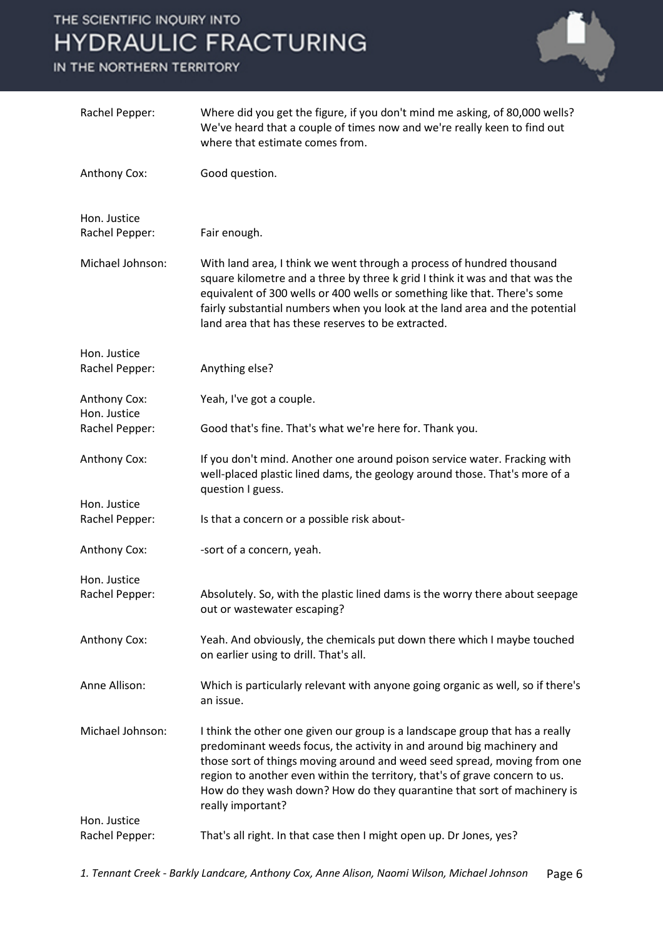

| Rachel Pepper:                 | Where did you get the figure, if you don't mind me asking, of 80,000 wells?<br>We've heard that a couple of times now and we're really keen to find out<br>where that estimate comes from.                                                                                                                                                                                                                       |
|--------------------------------|------------------------------------------------------------------------------------------------------------------------------------------------------------------------------------------------------------------------------------------------------------------------------------------------------------------------------------------------------------------------------------------------------------------|
| Anthony Cox:                   | Good question.                                                                                                                                                                                                                                                                                                                                                                                                   |
| Hon. Justice                   |                                                                                                                                                                                                                                                                                                                                                                                                                  |
| Rachel Pepper:                 | Fair enough.                                                                                                                                                                                                                                                                                                                                                                                                     |
| Michael Johnson:               | With land area, I think we went through a process of hundred thousand<br>square kilometre and a three by three k grid I think it was and that was the<br>equivalent of 300 wells or 400 wells or something like that. There's some<br>fairly substantial numbers when you look at the land area and the potential<br>land area that has these reserves to be extracted.                                          |
| Hon. Justice<br>Rachel Pepper: | Anything else?                                                                                                                                                                                                                                                                                                                                                                                                   |
| Anthony Cox:<br>Hon. Justice   | Yeah, I've got a couple.                                                                                                                                                                                                                                                                                                                                                                                         |
| Rachel Pepper:                 | Good that's fine. That's what we're here for. Thank you.                                                                                                                                                                                                                                                                                                                                                         |
| Anthony Cox:                   | If you don't mind. Another one around poison service water. Fracking with<br>well-placed plastic lined dams, the geology around those. That's more of a<br>question I guess.                                                                                                                                                                                                                                     |
| Hon. Justice<br>Rachel Pepper: | Is that a concern or a possible risk about-                                                                                                                                                                                                                                                                                                                                                                      |
| Anthony Cox:                   | -sort of a concern, yeah.                                                                                                                                                                                                                                                                                                                                                                                        |
| Hon. Justice                   |                                                                                                                                                                                                                                                                                                                                                                                                                  |
| Rachel Pepper:                 | Absolutely. So, with the plastic lined dams is the worry there about seepage<br>out or wastewater escaping?                                                                                                                                                                                                                                                                                                      |
| Anthony Cox:                   | Yeah. And obviously, the chemicals put down there which I maybe touched<br>on earlier using to drill. That's all.                                                                                                                                                                                                                                                                                                |
| Anne Allison:                  | Which is particularly relevant with anyone going organic as well, so if there's<br>an issue.                                                                                                                                                                                                                                                                                                                     |
| Michael Johnson:               | I think the other one given our group is a landscape group that has a really<br>predominant weeds focus, the activity in and around big machinery and<br>those sort of things moving around and weed seed spread, moving from one<br>region to another even within the territory, that's of grave concern to us.<br>How do they wash down? How do they quarantine that sort of machinery is<br>really important? |
| Hon. Justice                   |                                                                                                                                                                                                                                                                                                                                                                                                                  |
| Rachel Pepper:                 | That's all right. In that case then I might open up. Dr Jones, yes?                                                                                                                                                                                                                                                                                                                                              |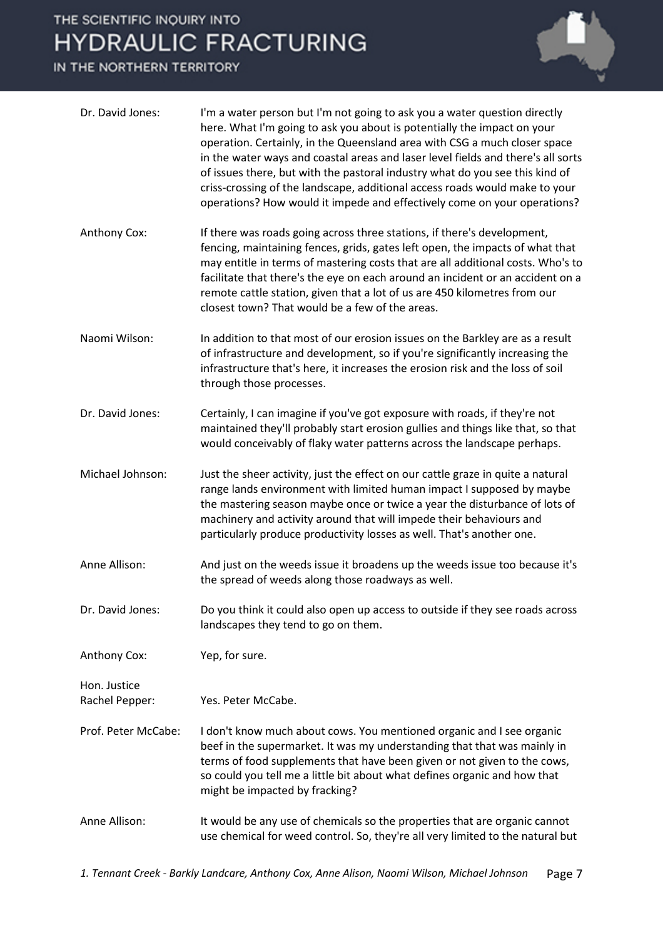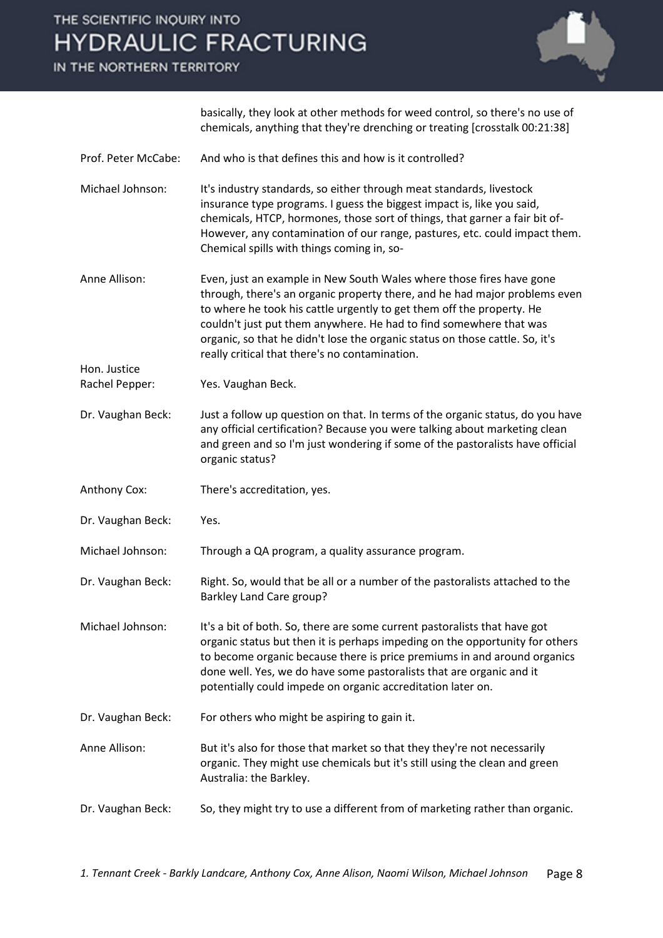IN THE NORTHERN TERRITORY



basically, they look at other methods for weed control, so there's no use of chemicals, anything that they're drenching or treating [crosstalk 00:21:38]

- Prof. Peter McCabe: And who is that defines this and how is it controlled?
- Michael Johnson: It's industry standards, so either through meat standards, livestock insurance type programs. I guess the biggest impact is, like you said, chemicals, HTCP, hormones, those sort of things, that garner a fair bit of-However, any contamination of our range, pastures, etc. could impact them. Chemical spills with things coming in, so-
- Anne Allison: Even, just an example in New South Wales where those fires have gone through, there's an organic property there, and he had major problems even to where he took his cattle urgently to get them off the property. He couldn't just put them anywhere. He had to find somewhere that was organic, so that he didn't lose the organic status on those cattle. So, it's really critical that there's no contamination.
- Rachel Pepper: Yes. Vaughan Beck.
- Dr. Vaughan Beck: Just a follow up question on that. In terms of the organic status, do you have any official certification? Because you were talking about marketing clean and green and so I'm just wondering if some of the pastoralists have official organic status?
- Anthony Cox: There's accreditation, yes.
- Dr. Vaughan Beck: Yes.

Hon. Justice

- Michael Johnson: Through a QA program, a quality assurance program.
- Dr. Vaughan Beck: Right. So, would that be all or a number of the pastoralists attached to the Barkley Land Care group?
- Michael Johnson: It's a bit of both. So, there are some current pastoralists that have got organic status but then it is perhaps impeding on the opportunity for others to become organic because there is price premiums in and around organics done well. Yes, we do have some pastoralists that are organic and it potentially could impede on organic accreditation later on.
- Dr. Vaughan Beck: For others who might be aspiring to gain it.
- Anne Allison: But it's also for those that market so that they they're not necessarily organic. They might use chemicals but it's still using the clean and green Australia: the Barkley.
- Dr. Vaughan Beck: So, they might try to use a different from of marketing rather than organic.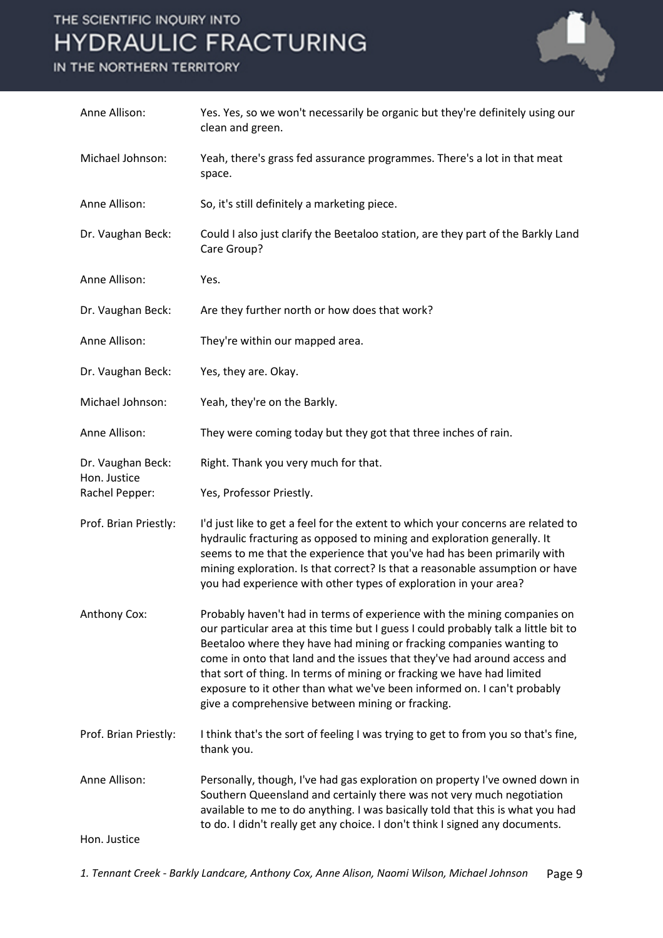#### IN THE NORTHERN TERRITORY



| Anne Allison:                     | Yes. Yes, so we won't necessarily be organic but they're definitely using our<br>clean and green.                                                                                                                                                                                                                                                                                                                                                                                                                           |
|-----------------------------------|-----------------------------------------------------------------------------------------------------------------------------------------------------------------------------------------------------------------------------------------------------------------------------------------------------------------------------------------------------------------------------------------------------------------------------------------------------------------------------------------------------------------------------|
| Michael Johnson:                  | Yeah, there's grass fed assurance programmes. There's a lot in that meat<br>space.                                                                                                                                                                                                                                                                                                                                                                                                                                          |
| Anne Allison:                     | So, it's still definitely a marketing piece.                                                                                                                                                                                                                                                                                                                                                                                                                                                                                |
| Dr. Vaughan Beck:                 | Could I also just clarify the Beetaloo station, are they part of the Barkly Land<br>Care Group?                                                                                                                                                                                                                                                                                                                                                                                                                             |
| Anne Allison:                     | Yes.                                                                                                                                                                                                                                                                                                                                                                                                                                                                                                                        |
| Dr. Vaughan Beck:                 | Are they further north or how does that work?                                                                                                                                                                                                                                                                                                                                                                                                                                                                               |
| Anne Allison:                     | They're within our mapped area.                                                                                                                                                                                                                                                                                                                                                                                                                                                                                             |
| Dr. Vaughan Beck:                 | Yes, they are. Okay.                                                                                                                                                                                                                                                                                                                                                                                                                                                                                                        |
| Michael Johnson:                  | Yeah, they're on the Barkly.                                                                                                                                                                                                                                                                                                                                                                                                                                                                                                |
| Anne Allison:                     | They were coming today but they got that three inches of rain.                                                                                                                                                                                                                                                                                                                                                                                                                                                              |
| Dr. Vaughan Beck:<br>Hon. Justice | Right. Thank you very much for that.                                                                                                                                                                                                                                                                                                                                                                                                                                                                                        |
| Rachel Pepper:                    | Yes, Professor Priestly.                                                                                                                                                                                                                                                                                                                                                                                                                                                                                                    |
| Prof. Brian Priestly:             | I'd just like to get a feel for the extent to which your concerns are related to<br>hydraulic fracturing as opposed to mining and exploration generally. It<br>seems to me that the experience that you've had has been primarily with<br>mining exploration. Is that correct? Is that a reasonable assumption or have<br>you had experience with other types of exploration in your area?                                                                                                                                  |
| Anthony Cox:                      | Probably haven't had in terms of experience with the mining companies on<br>our particular area at this time but I guess I could probably talk a little bit to<br>Beetaloo where they have had mining or fracking companies wanting to<br>come in onto that land and the issues that they've had around access and<br>that sort of thing. In terms of mining or fracking we have had limited<br>exposure to it other than what we've been informed on. I can't probably<br>give a comprehensive between mining or fracking. |
| Prof. Brian Priestly:             | I think that's the sort of feeling I was trying to get to from you so that's fine,<br>thank you.                                                                                                                                                                                                                                                                                                                                                                                                                            |
| Anne Allison:                     | Personally, though, I've had gas exploration on property I've owned down in<br>Southern Queensland and certainly there was not very much negotiation<br>available to me to do anything. I was basically told that this is what you had<br>to do. I didn't really get any choice. I don't think I signed any documents.                                                                                                                                                                                                      |
| Hon. Justice                      |                                                                                                                                                                                                                                                                                                                                                                                                                                                                                                                             |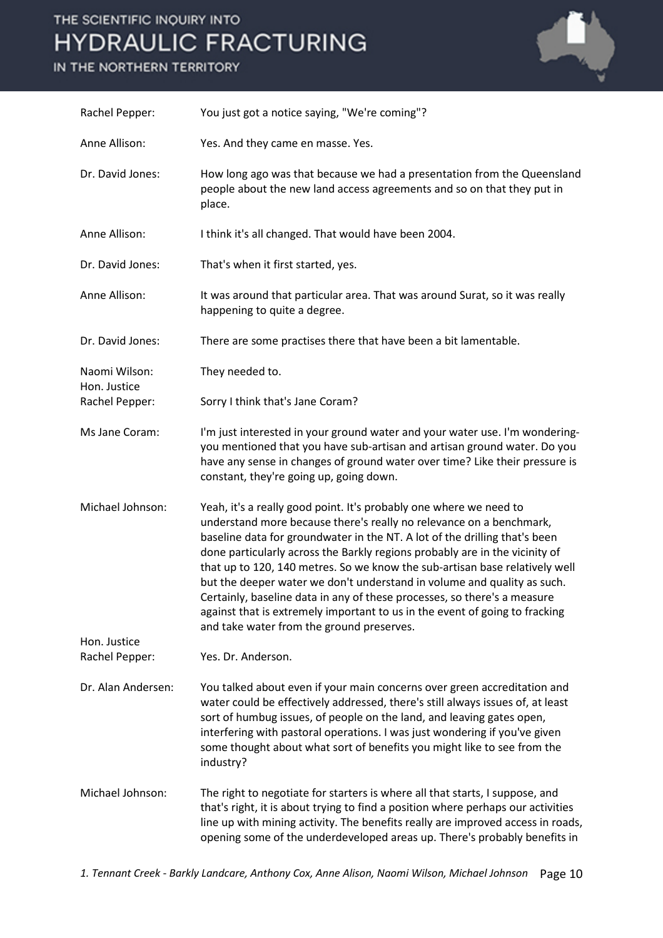

| Rachel Pepper:                 | You just got a notice saying, "We're coming"?                                                                                                                                                                                                                                                                                                                                                                                                                                                                                                                                                                                                                            |
|--------------------------------|--------------------------------------------------------------------------------------------------------------------------------------------------------------------------------------------------------------------------------------------------------------------------------------------------------------------------------------------------------------------------------------------------------------------------------------------------------------------------------------------------------------------------------------------------------------------------------------------------------------------------------------------------------------------------|
| Anne Allison:                  | Yes. And they came en masse. Yes.                                                                                                                                                                                                                                                                                                                                                                                                                                                                                                                                                                                                                                        |
| Dr. David Jones:               | How long ago was that because we had a presentation from the Queensland<br>people about the new land access agreements and so on that they put in<br>place.                                                                                                                                                                                                                                                                                                                                                                                                                                                                                                              |
| Anne Allison:                  | I think it's all changed. That would have been 2004.                                                                                                                                                                                                                                                                                                                                                                                                                                                                                                                                                                                                                     |
| Dr. David Jones:               | That's when it first started, yes.                                                                                                                                                                                                                                                                                                                                                                                                                                                                                                                                                                                                                                       |
| Anne Allison:                  | It was around that particular area. That was around Surat, so it was really<br>happening to quite a degree.                                                                                                                                                                                                                                                                                                                                                                                                                                                                                                                                                              |
| Dr. David Jones:               | There are some practises there that have been a bit lamentable.                                                                                                                                                                                                                                                                                                                                                                                                                                                                                                                                                                                                          |
| Naomi Wilson:<br>Hon. Justice  | They needed to.                                                                                                                                                                                                                                                                                                                                                                                                                                                                                                                                                                                                                                                          |
| Rachel Pepper:                 | Sorry I think that's Jane Coram?                                                                                                                                                                                                                                                                                                                                                                                                                                                                                                                                                                                                                                         |
| Ms Jane Coram:                 | I'm just interested in your ground water and your water use. I'm wondering-<br>you mentioned that you have sub-artisan and artisan ground water. Do you<br>have any sense in changes of ground water over time? Like their pressure is<br>constant, they're going up, going down.                                                                                                                                                                                                                                                                                                                                                                                        |
| Michael Johnson:               | Yeah, it's a really good point. It's probably one where we need to<br>understand more because there's really no relevance on a benchmark,<br>baseline data for groundwater in the NT. A lot of the drilling that's been<br>done particularly across the Barkly regions probably are in the vicinity of<br>that up to 120, 140 metres. So we know the sub-artisan base relatively well<br>but the deeper water we don't understand in volume and quality as such.<br>Certainly, baseline data in any of these processes, so there's a measure<br>against that is extremely important to us in the event of going to fracking<br>and take water from the ground preserves. |
| Hon. Justice<br>Rachel Pepper: | Yes. Dr. Anderson.                                                                                                                                                                                                                                                                                                                                                                                                                                                                                                                                                                                                                                                       |
| Dr. Alan Andersen:             | You talked about even if your main concerns over green accreditation and<br>water could be effectively addressed, there's still always issues of, at least<br>sort of humbug issues, of people on the land, and leaving gates open,<br>interfering with pastoral operations. I was just wondering if you've given<br>some thought about what sort of benefits you might like to see from the<br>industry?                                                                                                                                                                                                                                                                |
| Michael Johnson:               | The right to negotiate for starters is where all that starts, I suppose, and<br>that's right, it is about trying to find a position where perhaps our activities<br>line up with mining activity. The benefits really are improved access in roads,<br>opening some of the underdeveloped areas up. There's probably benefits in                                                                                                                                                                                                                                                                                                                                         |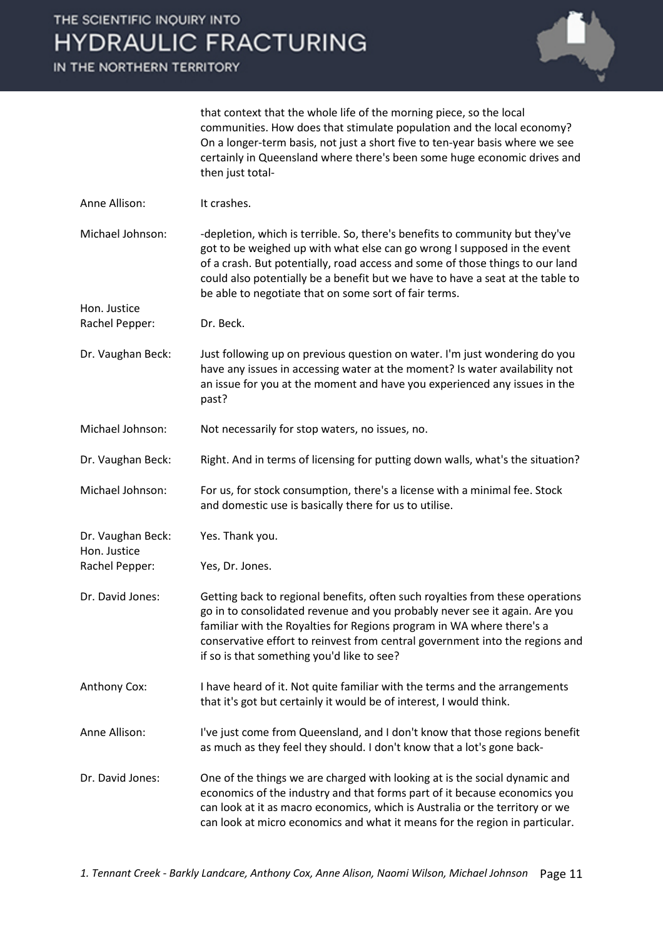IN THE NORTHERN TERRITORY



| that context that the whole life of the morning piece, so the local          |
|------------------------------------------------------------------------------|
| communities. How does that stimulate population and the local economy?       |
| On a longer-term basis, not just a short five to ten-year basis where we see |
| certainly in Queensland where there's been some huge economic drives and     |
| then just total-                                                             |

- Anne Allison: It crashes.
- Michael Johnson: -depletion, which is terrible. So, there's benefits to community but they've got to be weighed up with what else can go wrong I supposed in the event of a crash. But potentially, road access and some of those things to our land could also potentially be a benefit but we have to have a seat at the table to be able to negotiate that on some sort of fair terms.

Rachel Pepper: Dr. Beck.

Hon. Justice

Hon. Justice

Dr. Vaughan Beck: Just following up on previous question on water. I'm just wondering do you have any issues in accessing water at the moment? Is water availability not an issue for you at the moment and have you experienced any issues in the past?

Michael Johnson: Not necessarily for stop waters, no issues, no.

Dr. Vaughan Beck: Right. And in terms of licensing for putting down walls, what's the situation?

Michael Johnson: For us, for stock consumption, there's a license with a minimal fee. Stock and domestic use is basically there for us to utilise.

Dr. Vaughan Beck: Yes. Thank you.

Rachel Pepper: Yes, Dr. Jones.

- Dr. David Jones: Getting back to regional benefits, often such royalties from these operations go in to consolidated revenue and you probably never see it again. Are you familiar with the Royalties for Regions program in WA where there's a conservative effort to reinvest from central government into the regions and if so is that something you'd like to see?
- Anthony Cox: I have heard of it. Not quite familiar with the terms and the arrangements that it's got but certainly it would be of interest, I would think.
- Anne Allison: I've just come from Queensland, and I don't know that those regions benefit as much as they feel they should. I don't know that a lot's gone back-
- Dr. David Jones: One of the things we are charged with looking at is the social dynamic and economics of the industry and that forms part of it because economics you can look at it as macro economics, which is Australia or the territory or we can look at micro economics and what it means for the region in particular.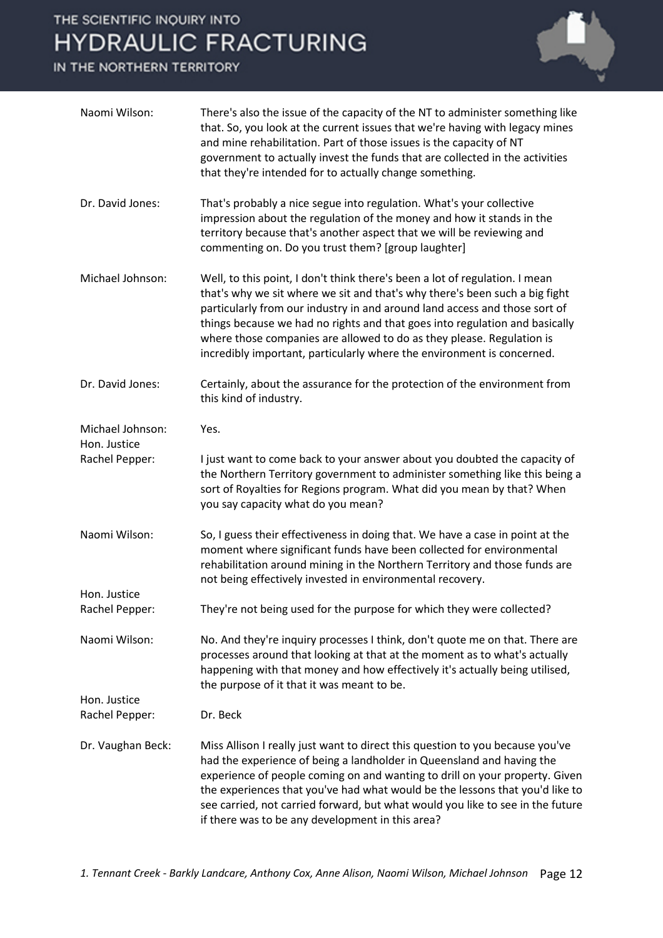

| Naomi Wilson:                    | There's also the issue of the capacity of the NT to administer something like<br>that. So, you look at the current issues that we're having with legacy mines<br>and mine rehabilitation. Part of those issues is the capacity of NT<br>government to actually invest the funds that are collected in the activities<br>that they're intended for to actually change something.                                                                                            |
|----------------------------------|----------------------------------------------------------------------------------------------------------------------------------------------------------------------------------------------------------------------------------------------------------------------------------------------------------------------------------------------------------------------------------------------------------------------------------------------------------------------------|
| Dr. David Jones:                 | That's probably a nice segue into regulation. What's your collective<br>impression about the regulation of the money and how it stands in the<br>territory because that's another aspect that we will be reviewing and<br>commenting on. Do you trust them? [group laughter]                                                                                                                                                                                               |
| Michael Johnson:                 | Well, to this point, I don't think there's been a lot of regulation. I mean<br>that's why we sit where we sit and that's why there's been such a big fight<br>particularly from our industry in and around land access and those sort of<br>things because we had no rights and that goes into regulation and basically<br>where those companies are allowed to do as they please. Regulation is<br>incredibly important, particularly where the environment is concerned. |
| Dr. David Jones:                 | Certainly, about the assurance for the protection of the environment from<br>this kind of industry.                                                                                                                                                                                                                                                                                                                                                                        |
| Michael Johnson:<br>Hon. Justice | Yes.                                                                                                                                                                                                                                                                                                                                                                                                                                                                       |
| Rachel Pepper:                   | I just want to come back to your answer about you doubted the capacity of<br>the Northern Territory government to administer something like this being a<br>sort of Royalties for Regions program. What did you mean by that? When<br>you say capacity what do you mean?                                                                                                                                                                                                   |
| Naomi Wilson:                    | So, I guess their effectiveness in doing that. We have a case in point at the<br>moment where significant funds have been collected for environmental<br>rehabilitation around mining in the Northern Territory and those funds are<br>not being effectively invested in environmental recovery.                                                                                                                                                                           |
| Hon. Justice<br>Rachel Pepper:   | They're not being used for the purpose for which they were collected?                                                                                                                                                                                                                                                                                                                                                                                                      |
| Naomi Wilson:                    | No. And they're inquiry processes I think, don't quote me on that. There are<br>processes around that looking at that at the moment as to what's actually<br>happening with that money and how effectively it's actually being utilised,<br>the purpose of it that it was meant to be.                                                                                                                                                                                     |
| Hon. Justice<br>Rachel Pepper:   | Dr. Beck                                                                                                                                                                                                                                                                                                                                                                                                                                                                   |
|                                  |                                                                                                                                                                                                                                                                                                                                                                                                                                                                            |
| Dr. Vaughan Beck:                | Miss Allison I really just want to direct this question to you because you've<br>had the experience of being a landholder in Queensland and having the<br>experience of people coming on and wanting to drill on your property. Given<br>the experiences that you've had what would be the lessons that you'd like to<br>see carried, not carried forward, but what would you like to see in the future<br>if there was to be any development in this area?                |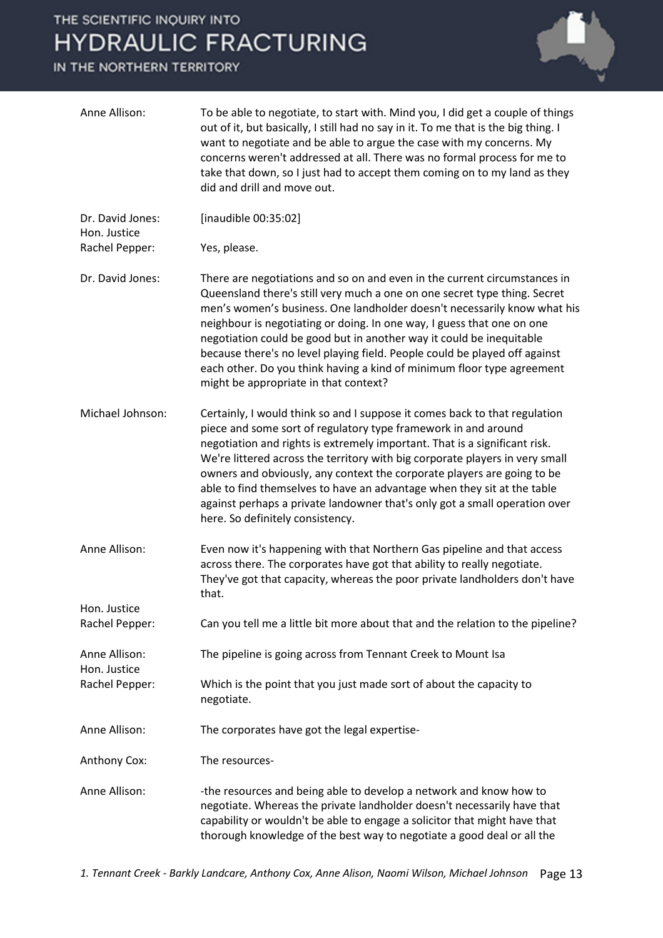#### IN THE NORTHERN TERRITORY

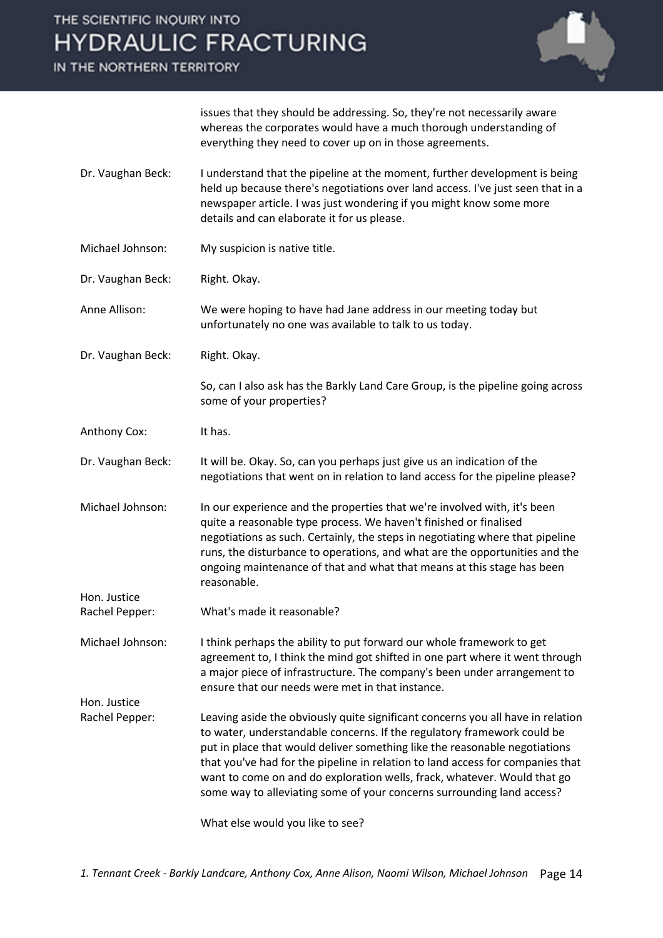IN THE NORTHERN TERRITORY



issues that they should be addressing. So, they're not necessarily aware whereas the corporates would have a much thorough understanding of everything they need to cover up on in those agreements.

- Dr. Vaughan Beck: I understand that the pipeline at the moment, further development is being held up because there's negotiations over land access. I've just seen that in a newspaper article. I was just wondering if you might know some more details and can elaborate it for us please.
- Michael Johnson: My suspicion is native title.
- Dr. Vaughan Beck: Right. Okay.

Anne Allison: We were hoping to have had Jane address in our meeting today but unfortunately no one was available to talk to us today.

Dr. Vaughan Beck: Right. Okay.

So, can I also ask has the Barkly Land Care Group, is the pipeline going across some of your properties?

Anthony Cox: It has.

Hon. Justice

Hon. Justice

Dr. Vaughan Beck: It will be. Okay. So, can you perhaps just give us an indication of the negotiations that went on in relation to land access for the pipeline please?

Michael Johnson: In our experience and the properties that we're involved with, it's been quite a reasonable type process. We haven't finished or finalised negotiations as such. Certainly, the steps in negotiating where that pipeline runs, the disturbance to operations, and what are the opportunities and the ongoing maintenance of that and what that means at this stage has been reasonable.

Rachel Pepper: What's made it reasonable?

Michael Johnson: I think perhaps the ability to put forward our whole framework to get agreement to, I think the mind got shifted in one part where it went through a major piece of infrastructure. The company's been under arrangement to ensure that our needs were met in that instance.

Rachel Pepper: Leaving aside the obviously quite significant concerns you all have in relation to water, understandable concerns. If the regulatory framework could be put in place that would deliver something like the reasonable negotiations that you've had for the pipeline in relation to land access for companies that want to come on and do exploration wells, frack, whatever. Would that go some way to alleviating some of your concerns surrounding land access?

What else would you like to see?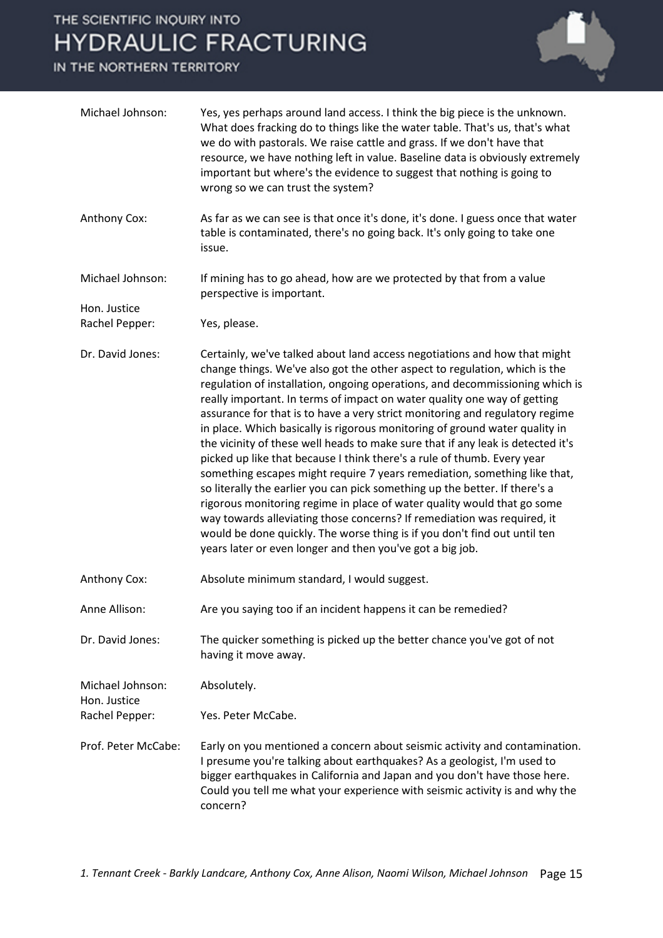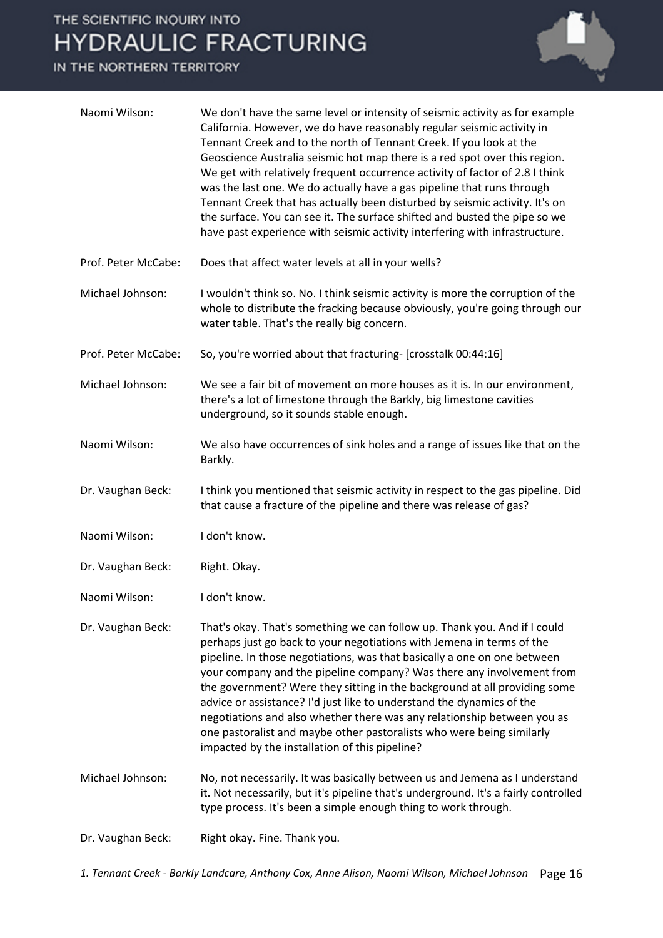| Naomi Wilson:       | We don't have the same level or intensity of seismic activity as for example<br>California. However, we do have reasonably regular seismic activity in<br>Tennant Creek and to the north of Tennant Creek. If you look at the<br>Geoscience Australia seismic hot map there is a red spot over this region.<br>We get with relatively frequent occurrence activity of factor of 2.8 I think<br>was the last one. We do actually have a gas pipeline that runs through<br>Tennant Creek that has actually been disturbed by seismic activity. It's on<br>the surface. You can see it. The surface shifted and busted the pipe so we<br>have past experience with seismic activity interfering with infrastructure. |
|---------------------|-------------------------------------------------------------------------------------------------------------------------------------------------------------------------------------------------------------------------------------------------------------------------------------------------------------------------------------------------------------------------------------------------------------------------------------------------------------------------------------------------------------------------------------------------------------------------------------------------------------------------------------------------------------------------------------------------------------------|
| Prof. Peter McCabe: | Does that affect water levels at all in your wells?                                                                                                                                                                                                                                                                                                                                                                                                                                                                                                                                                                                                                                                               |
| Michael Johnson:    | I wouldn't think so. No. I think seismic activity is more the corruption of the<br>whole to distribute the fracking because obviously, you're going through our<br>water table. That's the really big concern.                                                                                                                                                                                                                                                                                                                                                                                                                                                                                                    |
| Prof. Peter McCabe: | So, you're worried about that fracturing- [crosstalk 00:44:16]                                                                                                                                                                                                                                                                                                                                                                                                                                                                                                                                                                                                                                                    |
| Michael Johnson:    | We see a fair bit of movement on more houses as it is. In our environment,<br>there's a lot of limestone through the Barkly, big limestone cavities<br>underground, so it sounds stable enough.                                                                                                                                                                                                                                                                                                                                                                                                                                                                                                                   |
| Naomi Wilson:       | We also have occurrences of sink holes and a range of issues like that on the<br>Barkly.                                                                                                                                                                                                                                                                                                                                                                                                                                                                                                                                                                                                                          |
| Dr. Vaughan Beck:   | I think you mentioned that seismic activity in respect to the gas pipeline. Did<br>that cause a fracture of the pipeline and there was release of gas?                                                                                                                                                                                                                                                                                                                                                                                                                                                                                                                                                            |
| Naomi Wilson:       | I don't know.                                                                                                                                                                                                                                                                                                                                                                                                                                                                                                                                                                                                                                                                                                     |
| Dr. Vaughan Beck:   | Right. Okay.                                                                                                                                                                                                                                                                                                                                                                                                                                                                                                                                                                                                                                                                                                      |
| Naomi Wilson:       | I don't know.                                                                                                                                                                                                                                                                                                                                                                                                                                                                                                                                                                                                                                                                                                     |
| Dr. Vaughan Beck:   | That's okay. That's something we can follow up. Thank you. And if I could<br>perhaps just go back to your negotiations with Jemena in terms of the<br>pipeline. In those negotiations, was that basically a one on one between<br>your company and the pipeline company? Was there any involvement from<br>the government? Were they sitting in the background at all providing some<br>advice or assistance? I'd just like to understand the dynamics of the<br>negotiations and also whether there was any relationship between you as<br>one pastoralist and maybe other pastoralists who were being similarly<br>impacted by the installation of this pipeline?                                               |
| Michael Johnson:    | No, not necessarily. It was basically between us and Jemena as I understand<br>it. Not necessarily, but it's pipeline that's underground. It's a fairly controlled<br>type process. It's been a simple enough thing to work through.                                                                                                                                                                                                                                                                                                                                                                                                                                                                              |
| Dr. Vaughan Beck:   | Right okay. Fine. Thank you.                                                                                                                                                                                                                                                                                                                                                                                                                                                                                                                                                                                                                                                                                      |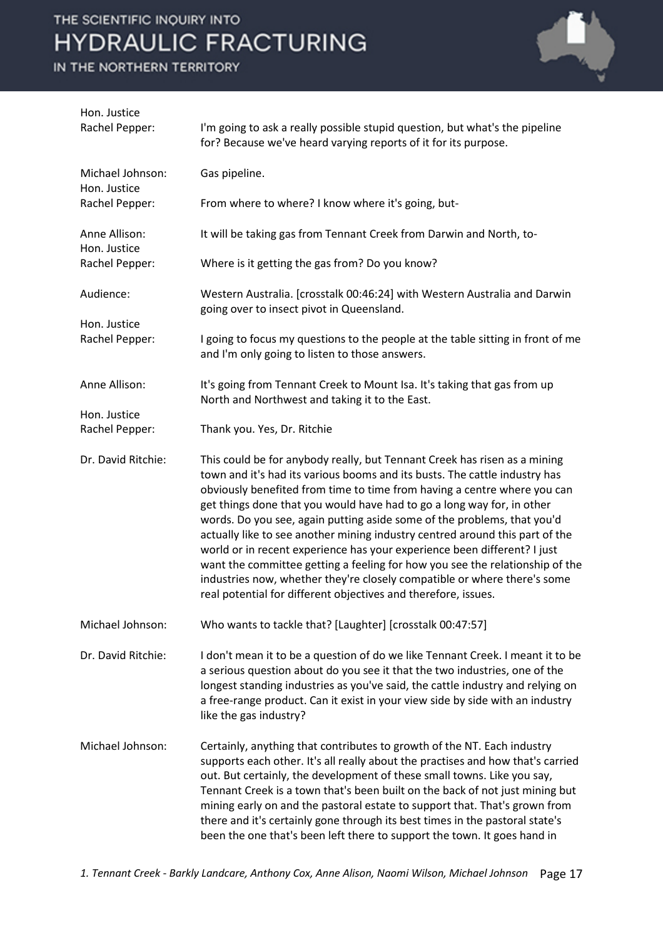

| Hon. Justice<br>Rachel Pepper:   | I'm going to ask a really possible stupid question, but what's the pipeline<br>for? Because we've heard varying reports of it for its purpose.                                                                                                                                                                                                                                                                                                                                                                                                                                                                                                                                                                                                                                     |
|----------------------------------|------------------------------------------------------------------------------------------------------------------------------------------------------------------------------------------------------------------------------------------------------------------------------------------------------------------------------------------------------------------------------------------------------------------------------------------------------------------------------------------------------------------------------------------------------------------------------------------------------------------------------------------------------------------------------------------------------------------------------------------------------------------------------------|
| Michael Johnson:<br>Hon. Justice | Gas pipeline.                                                                                                                                                                                                                                                                                                                                                                                                                                                                                                                                                                                                                                                                                                                                                                      |
| Rachel Pepper:                   | From where to where? I know where it's going, but-                                                                                                                                                                                                                                                                                                                                                                                                                                                                                                                                                                                                                                                                                                                                 |
| Anne Allison:<br>Hon. Justice    | It will be taking gas from Tennant Creek from Darwin and North, to-                                                                                                                                                                                                                                                                                                                                                                                                                                                                                                                                                                                                                                                                                                                |
| Rachel Pepper:                   | Where is it getting the gas from? Do you know?                                                                                                                                                                                                                                                                                                                                                                                                                                                                                                                                                                                                                                                                                                                                     |
| Audience:                        | Western Australia. [crosstalk 00:46:24] with Western Australia and Darwin<br>going over to insect pivot in Queensland.                                                                                                                                                                                                                                                                                                                                                                                                                                                                                                                                                                                                                                                             |
| Hon. Justice<br>Rachel Pepper:   | I going to focus my questions to the people at the table sitting in front of me<br>and I'm only going to listen to those answers.                                                                                                                                                                                                                                                                                                                                                                                                                                                                                                                                                                                                                                                  |
| Anne Allison:<br>Hon. Justice    | It's going from Tennant Creek to Mount Isa. It's taking that gas from up<br>North and Northwest and taking it to the East.                                                                                                                                                                                                                                                                                                                                                                                                                                                                                                                                                                                                                                                         |
| Rachel Pepper:                   | Thank you. Yes, Dr. Ritchie                                                                                                                                                                                                                                                                                                                                                                                                                                                                                                                                                                                                                                                                                                                                                        |
| Dr. David Ritchie:               | This could be for anybody really, but Tennant Creek has risen as a mining<br>town and it's had its various booms and its busts. The cattle industry has<br>obviously benefited from time to time from having a centre where you can<br>get things done that you would have had to go a long way for, in other<br>words. Do you see, again putting aside some of the problems, that you'd<br>actually like to see another mining industry centred around this part of the<br>world or in recent experience has your experience been different? I just<br>want the committee getting a feeling for how you see the relationship of the<br>industries now, whether they're closely compatible or where there's some<br>real potential for different objectives and therefore, issues. |
| Michael Johnson:                 | Who wants to tackle that? [Laughter] [crosstalk 00:47:57]                                                                                                                                                                                                                                                                                                                                                                                                                                                                                                                                                                                                                                                                                                                          |
| Dr. David Ritchie:               | I don't mean it to be a question of do we like Tennant Creek. I meant it to be<br>a serious question about do you see it that the two industries, one of the<br>longest standing industries as you've said, the cattle industry and relying on<br>a free-range product. Can it exist in your view side by side with an industry<br>like the gas industry?                                                                                                                                                                                                                                                                                                                                                                                                                          |
| Michael Johnson:                 | Certainly, anything that contributes to growth of the NT. Each industry<br>supports each other. It's all really about the practises and how that's carried<br>out. But certainly, the development of these small towns. Like you say,<br>Tennant Creek is a town that's been built on the back of not just mining but<br>mining early on and the pastoral estate to support that. That's grown from<br>there and it's certainly gone through its best times in the pastoral state's<br>been the one that's been left there to support the town. It goes hand in                                                                                                                                                                                                                    |